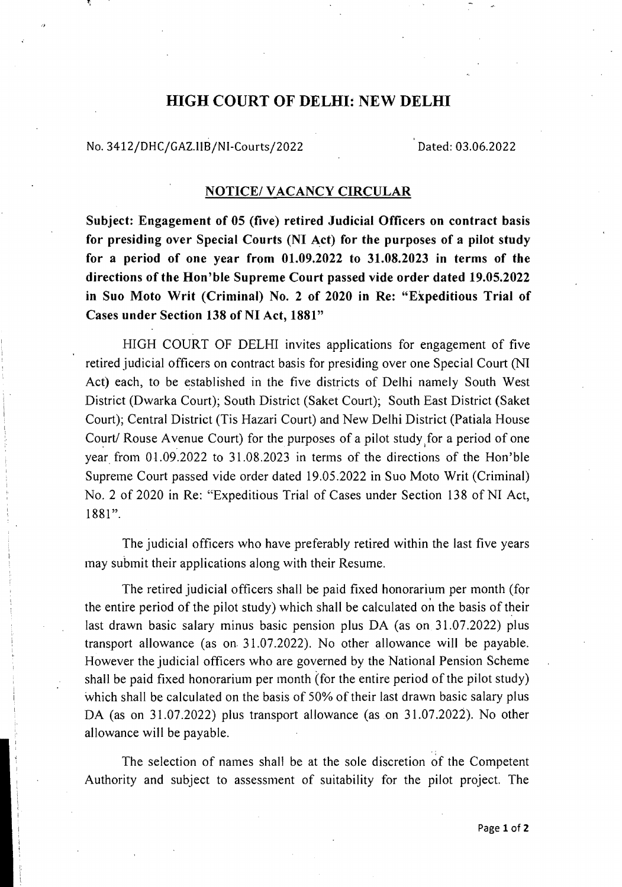## HIGH COURT OF DELHI: NEW DELHI

No. 3412/DHC/GAZ.IIB/NI-Courts/2022 Dated: 03.06.2022

## NOTICE/ VACANCY CIRCULAR

Subject: Engagement of 05 (five) retired Judicial Officers on contract basis for presiding over Special Courts (NI Act) for the purposes of a pilot study for a period of one year from 01.09.2022 to 31.08.2023 in terms of the directions of the Hon'ble Supreme Court passed vide order dated 19.05.2022 in Suo Moto Writ (Criminal) No.2 of 2020 in Re: "Expeditious Trial of Cases under Section 138 of NI Act, 1881"

HIGH COURT OF DELHI invites applications for engagement of five retired judicial officers on contract basis for presiding over one Special Court (NI Act) each, to be established in the five districts of Delhi namely South West District (Dwarka Court); South District (Saket Court); South East District (Saket Court); Central District (Tis Hazari Court) and New Delhi District (Patiala House Court/ Rouse Avenue Court) for the purposes of a pilot study for a period of one year from 01.09.2022 to 31.08.2023 in terms of the directions of the Hon'ble Supreme Court passed vide order dated 19.05.2022 in Suo Moto Writ (Criminal) No. 2 of 2020 in Re: "Expeditious Trial of Cases under Section 138 of NI Act, 1881".

The judicial officers who have preferably retired within the last five years may submit their applications along with their Resume.

The retired judicial officers shall be paid fixed honorarium per month (for the entire period of the pilot study) which shall be calculated on the basis of their last drawn basic salary minus basic pension plus DA (as on 31.07.2022) plus transport allowance (as on. 31.07.2022). No other allowance will be payable. However the judicial officers who are governed by the National Pension Scheme shall be paid fixed honorarium per month (for the entire period of the pilot study) which shall be calculated on the basis of 50% of their last drawn basic salary plus DA (as on 31.07.2022) plus transport allowance (as on 31.07.2022). No other allowance will be payable.

The selection of names shall be at the sole discretion of the Competent Authority and subject to assessment of suitability for the pilot project. The